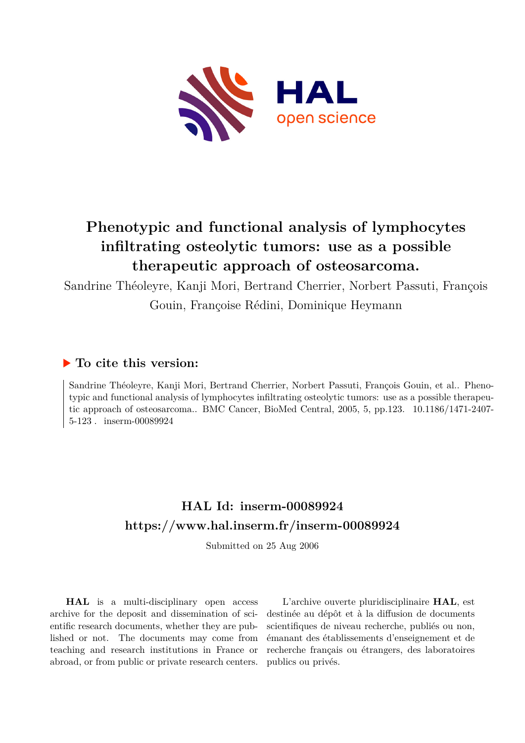

# **Phenotypic and functional analysis of lymphocytes infiltrating osteolytic tumors: use as a possible therapeutic approach of osteosarcoma.**

Sandrine Théoleyre, Kanji Mori, Bertrand Cherrier, Norbert Passuti, François Gouin, Françoise Rédini, Dominique Heymann

# **To cite this version:**

Sandrine Théoleyre, Kanji Mori, Bertrand Cherrier, Norbert Passuti, François Gouin, et al.. Phenotypic and functional analysis of lymphocytes infiltrating osteolytic tumors: use as a possible therapeutic approach of osteosarcoma.. BMC Cancer, BioMed Central, 2005, 5, pp.123. 10.1186/1471-2407-5-123  $.$  inserm-00089924

# **HAL Id: inserm-00089924 <https://www.hal.inserm.fr/inserm-00089924>**

Submitted on 25 Aug 2006

**HAL** is a multi-disciplinary open access archive for the deposit and dissemination of scientific research documents, whether they are published or not. The documents may come from teaching and research institutions in France or abroad, or from public or private research centers.

L'archive ouverte pluridisciplinaire **HAL**, est destinée au dépôt et à la diffusion de documents scientifiques de niveau recherche, publiés ou non, émanant des établissements d'enseignement et de recherche français ou étrangers, des laboratoires publics ou privés.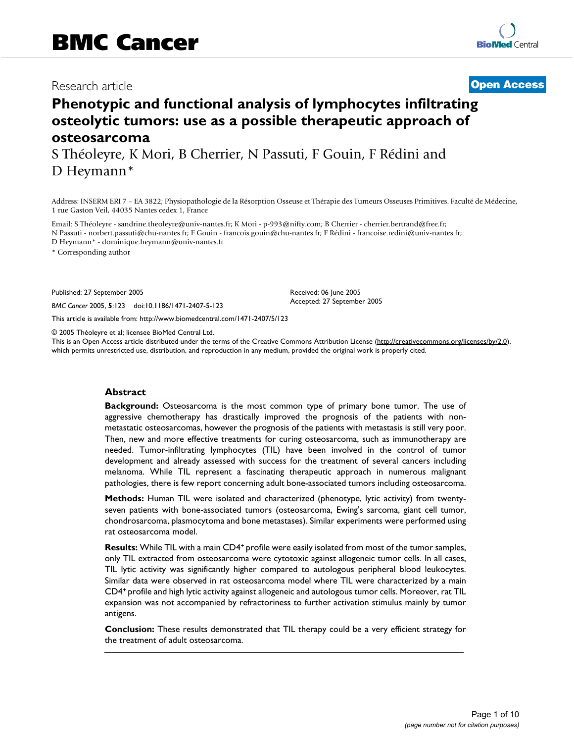# Research article **Contract Contract Contract Contract Contract Contract Contract Contract Contract Contract Contract Contract Contract Contract Contract Contract Contract Contract Contract Contract Contract Contract Contra**

# **Phenotypic and functional analysis of lymphocytes infiltrating osteolytic tumors: use as a possible therapeutic approach of osteosarcoma**

S Théoleyre, K Mori, B Cherrier, N Passuti, F Gouin, F Rédini and D Heymann\*

Address: INSERM ERI 7 – EA 3822; Physiopathologie de la Résorption Osseuse et Thérapie des Tumeurs Osseuses Primitives. Faculté de Médecine, 1 rue Gaston Veil, 44035 Nantes cedex 1, France

Email: S Théoleyre - sandrine.theoleyre@univ-nantes.fr; K Mori - p-993@nifty.com; B Cherrier - cherrier.bertrand@free.fr; N Passuti - norbert.passuti@chu-nantes.fr; F Gouin - francois.gouin@chu-nantes.fr; F Rédini - francoise.redini@univ-nantes.fr; D Heymann\* - dominique.heymann@univ-nantes.fr

\* Corresponding author

Published: 27 September 2005

*BMC Cancer* 2005, **5**:123 doi:10.1186/1471-2407-5-123

[This article is available from: http://www.biomedcentral.com/1471-2407/5/123](http://www.biomedcentral.com/1471-2407/5/123)

© 2005 Théoleyre et al; licensee BioMed Central Ltd.

This is an Open Access article distributed under the terms of the Creative Commons Attribution License [\(http://creativecommons.org/licenses/by/2.0\)](http://creativecommons.org/licenses/by/2.0), which permits unrestricted use, distribution, and reproduction in any medium, provided the original work is properly cited.

Received: 06 June 2005 Accepted: 27 September 2005

#### **Abstract**

**Background:** Osteosarcoma is the most common type of primary bone tumor. The use of aggressive chemotherapy has drastically improved the prognosis of the patients with nonmetastatic osteosarcomas, however the prognosis of the patients with metastasis is still very poor. Then, new and more effective treatments for curing osteosarcoma, such as immunotherapy are needed. Tumor-infiltrating lymphocytes (TIL) have been involved in the control of tumor development and already assessed with success for the treatment of several cancers including melanoma. While TIL represent a fascinating therapeutic approach in numerous malignant pathologies, there is few report concerning adult bone-associated tumors including osteosarcoma.

**Methods:** Human TIL were isolated and characterized (phenotype, lytic activity) from twentyseven patients with bone-associated tumors (osteosarcoma, Ewing's sarcoma, giant cell tumor, chondrosarcoma, plasmocytoma and bone metastases). Similar experiments were performed using rat osteosarcoma model.

**Results:** While TIL with a main CD4<sup>+</sup> profile were easily isolated from most of the tumor samples, only TIL extracted from osteosarcoma were cytotoxic against allogeneic tumor cells. In all cases, TIL lytic activity was significantly higher compared to autologous peripheral blood leukocytes. Similar data were observed in rat osteosarcoma model where TIL were characterized by a main CD4<sup>+</sup>profile and high lytic activity against allogeneic and autologous tumor cells. Moreover, rat TIL expansion was not accompanied by refractoriness to further activation stimulus mainly by tumor antigens.

**Conclusion:** These results demonstrated that TIL therapy could be a very efficient strategy for the treatment of adult osteosarcoma.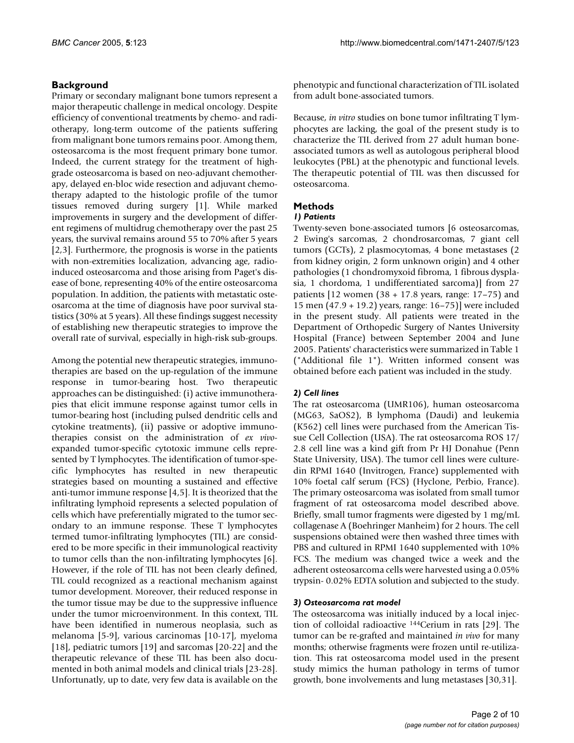# **Background**

Primary or secondary malignant bone tumors represent a major therapeutic challenge in medical oncology. Despite efficiency of conventional treatments by chemo- and radiotherapy, long-term outcome of the patients suffering from malignant bone tumors remains poor. Among them, osteosarcoma is the most frequent primary bone tumor. Indeed, the current strategy for the treatment of highgrade osteosarcoma is based on neo-adjuvant chemotherapy, delayed en-bloc wide resection and adjuvant chemotherapy adapted to the histologic profile of the tumor tissues removed during surgery [1]. While marked improvements in surgery and the development of different regimens of multidrug chemotherapy over the past 25 years, the survival remains around 55 to 70% after 5 years [2,3]. Furthermore, the prognosis is worse in the patients with non-extremities localization, advancing age, radioinduced osteosarcoma and those arising from Paget's disease of bone, representing 40% of the entire osteosarcoma population. In addition, the patients with metastatic osteosarcoma at the time of diagnosis have poor survival statistics (30% at 5 years). All these findings suggest necessity of establishing new therapeutic strategies to improve the overall rate of survival, especially in high-risk sub-groups.

Among the potential new therapeutic strategies, immunotherapies are based on the up-regulation of the immune response in tumor-bearing host. Two therapeutic approaches can be distinguished: (i) active immunotherapies that elicit immune response against tumor cells in tumor-bearing host (including pulsed dendritic cells and cytokine treatments), (ii) passive or adoptive immunotherapies consist on the administration of *ex vivo*expanded tumor-specific cytotoxic immune cells represented by T lymphocytes. The identification of tumor-specific lymphocytes has resulted in new therapeutic strategies based on mounting a sustained and effective anti-tumor immune response [4,5]. It is theorized that the infiltrating lymphoid represents a selected population of cells which have preferentially migrated to the tumor secondary to an immune response. These T lymphocytes termed tumor-infiltrating lymphocytes (TIL) are considered to be more specific in their immunological reactivity to tumor cells than the non-infiltrating lymphocytes [6]. However, if the role of TIL has not been clearly defined, TIL could recognized as a reactional mechanism against tumor development. Moreover, their reduced response in the tumor tissue may be due to the suppressive influence under the tumor microenvironment. In this context, TIL have been identified in numerous neoplasia, such as melanoma [5-9], various carcinomas [10-17], myeloma [18], pediatric tumors [19] and sarcomas [20-22] and the therapeutic relevance of these TIL has been also documented in both animal models and clinical trials [23-28]. Unfortunatly, up to date, very few data is available on the phenotypic and functional characterization of TIL isolated from adult bone-associated tumors.

Because, *in vitro* studies on bone tumor infiltrating T lymphocytes are lacking, the goal of the present study is to characterize the TIL derived from 27 adult human boneassociated tumors as well as autologous peripheral blood leukocytes (PBL) at the phenotypic and functional levels. The therapeutic potential of TIL was then discussed for osteosarcoma.

# **Methods**

# *1) Patients*

Twenty-seven bone-associated tumors [6 osteosarcomas, 2 Ewing's sarcomas, 2 chondrosarcomas, 7 giant cell tumors (GCTs), 2 plasmocytomas, 4 bone metastases (2 from kidney origin, 2 form unknown origin) and 4 other pathologies (1 chondromyxoid fibroma, 1 fibrous dysplasia, 1 chordoma, 1 undifferentiated sarcoma)] from 27 patients  $[12 \text{ women } (38 + 17.8 \text{ years}, \text{ range: } 17-75)$  and 15 men (47.9 + 19.2) years, range: 16–75)] were included in the present study. All patients were treated in the Department of Orthopedic Surgery of Nantes University Hospital (France) between September 2004 and June 2005. Patients' characteristics were summarized in Table 1 ("Additional file 1"). Written informed consent was obtained before each patient was included in the study.

# *2) Cell lines*

The rat osteosarcoma (UMR106), human osteosarcoma (MG63, SaOS2), B lymphoma (Daudi) and leukemia (K562) cell lines were purchased from the American Tissue Cell Collection (USA). The rat osteosarcoma ROS 17/ 2.8 cell line was a kind gift from Pr HJ Donahue (Penn State University, USA). The tumor cell lines were culturedin RPMI 1640 (Invitrogen, France) supplemented with 10% foetal calf serum (FCS) (Hyclone, Perbio, France). The primary osteosarcoma was isolated from small tumor fragment of rat osteosarcoma model described above. Briefly, small tumor fragments were digested by 1 mg/mL collagenase A (Boehringer Manheim) for 2 hours. The cell suspensions obtained were then washed three times with PBS and cultured in RPMI 1640 supplemented with 10% FCS. The medium was changed twice a week and the adherent osteosarcoma cells were harvested using a 0.05% trypsin- 0.02% EDTA solution and subjected to the study.

# *3) Osteosarcoma rat model*

The osteosarcoma was initially induced by a local injection of colloidal radioactive <sup>144</sup>Cerium in rats [29]. The tumor can be re-grafted and maintained *in vivo* for many months; otherwise fragments were frozen until re-utilization. This rat osteosarcoma model used in the present study mimics the human pathology in terms of tumor growth, bone involvements and lung metastases [30,31].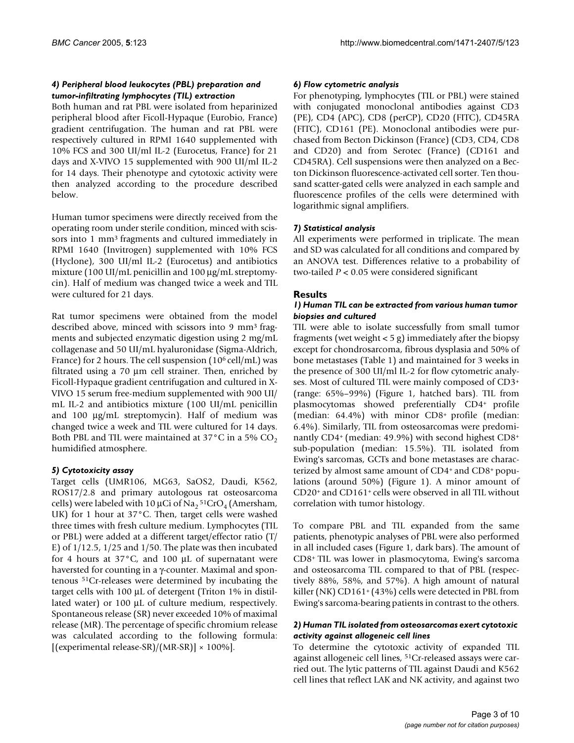# *4) Peripheral blood leukocytes (PBL) preparation and tumor-infiltrating lymphocytes (TIL) extraction*

Both human and rat PBL were isolated from heparinized peripheral blood after Ficoll-Hypaque (Eurobio, France) gradient centrifugation. The human and rat PBL were respectively cultured in RPMI 1640 supplemented with 10% FCS and 300 UI/ml IL-2 (Eurocetus, France) for 21 days and X-VIVO 15 supplemented with 900 UI/ml IL-2 for 14 days. Their phenotype and cytotoxic activity were then analyzed according to the procedure described below.

Human tumor specimens were directly received from the operating room under sterile condition, minced with scissors into 1 mm<sup>3</sup> fragments and cultured immediately in RPMI 1640 (Invitrogen) supplemented with 10% FCS (Hyclone), 300 UI/ml IL-2 (Eurocetus) and antibiotics mixture (100 UI/mL penicillin and 100 µg/mL streptomycin). Half of medium was changed twice a week and TIL were cultured for 21 days.

Rat tumor specimens were obtained from the model described above, minced with scissors into 9 mm3 fragments and subjected enzymatic digestion using 2 mg/mL collagenase and 50 UI/mL hyaluronidase (Sigma-Aldrich, France) for 2 hours. The cell suspension (10<sup>6</sup> cell/mL) was filtrated using a 70 µm cell strainer. Then, enriched by Ficoll-Hypaque gradient centrifugation and cultured in X-VIVO 15 serum free-medium supplemented with 900 UI/ mL IL-2 and antibiotics mixture (100 UI/mL penicillin and 100 µg/mL streptomycin). Half of medium was changed twice a week and TIL were cultured for 14 days. Both PBL and TIL were maintained at  $37^{\circ}$ C in a 5% CO<sub>2</sub> humidified atmosphere.

# *5) Cytotoxicity assay*

Target cells (UMR106, MG63, SaOS2, Daudi, K562, ROS17/2.8 and primary autologous rat osteosarcoma cells) were labeled with 10 µCi of Na $_2$ <sup>51</sup>CrO<sub>4</sub> (Amersham, UK) for 1 hour at 37°C. Then, target cells were washed three times with fresh culture medium. Lymphocytes (TIL or PBL) were added at a different target/effector ratio (T/ E) of  $1/12.5$ ,  $1/25$  and  $1/50$ . The plate was then incubated for 4 hours at  $37^{\circ}$ C, and 100 µL of supernatant were haversted for counting in a γ-counter. Maximal and spontenous <sup>51</sup>Cr-releases were determined by incubating the target cells with 100 µL of detergent (Triton 1% in distillated water) or 100 µL of culture medium, respectively. Spontaneous release (SR) never exceeded 10% of maximal release (MR). The percentage of specific chromium release was calculated according to the following formula: [(experimental release-SR)/(MR-SR)]  $\times$  100%].

# *6) Flow cytometric analysis*

For phenotyping, lymphocytes (TIL or PBL) were stained with conjugated monoclonal antibodies against CD3 (PE), CD4 (APC), CD8 (perCP), CD20 (FITC), CD45RA (FITC), CD161 (PE). Monoclonal antibodies were purchased from Becton Dickinson (France) (CD3, CD4, CD8 and CD20) and from Serotec (France) (CD161 and CD45RA). Cell suspensions were then analyzed on a Becton Dickinson fluorescence-activated cell sorter. Ten thousand scatter-gated cells were analyzed in each sample and fluorescence profiles of the cells were determined with logarithmic signal amplifiers.

# *7) Statistical analysis*

All experiments were performed in triplicate. The mean and SD was calculated for all conditions and compared by an ANOVA test. Differences relative to a probability of two-tailed *P* < 0.05 were considered significant

# **Results**

### *1) Human TIL can be extracted from various human tumor biopsies and cultured*

TIL were able to isolate successfully from small tumor fragments (wet weight < 5 g) immediately after the biopsy except for chondrosarcoma, fibrous dysplasia and 50% of bone metastases (Table 1) and maintained for 3 weeks in the presence of 300 UI/ml IL-2 for flow cytometric analyses. Most of cultured TIL were mainly composed of CD3<sup>+</sup> (range: 65%–99%) (Figure [1,](#page-4-0) hatched bars). TIL from plasmocytomas showed preferentially CD4+ profile (median:  $64.4\%$ ) with minor CD8+ profile (median: 6.4%). Similarly, TIL from osteosarcomas were predominantly CD4<sup>+</sup>(median: 49.9%) with second highest CD8<sup>+</sup> sub-population (median: 15.5%). TIL isolated from Ewing's sarcomas, GCTs and bone metastases are characterized by almost same amount of CD4+ and CD8+ populations (around 50%) (Figure [1](#page-4-0)). A minor amount of CD20<sup>+</sup>and CD161<sup>+</sup>cells were observed in all TIL without correlation with tumor histology.

To compare PBL and TIL expanded from the same patients, phenotypic analyses of PBL were also performed in all included cases (Figure [1](#page-4-0), dark bars). The amount of CD8<sup>+</sup>TIL was lower in plasmocytoma, Ewing's sarcoma and osteosarcoma TIL compared to that of PBL (respectively 88%, 58%, and 57%). A high amount of natural killer (NK) CD161<sup>+</sup> (43%) cells were detected in PBL from Ewing's sarcoma-bearing patients in contrast to the others.

# *2) Human TIL isolated from osteosarcomas exert cytotoxic activity against allogeneic cell lines*

To determine the cytotoxic activity of expanded TIL against allogeneic cell lines, 51Cr-released assays were carried out. The lytic patterns of TIL against Daudi and K562 cell lines that reflect LAK and NK activity, and against two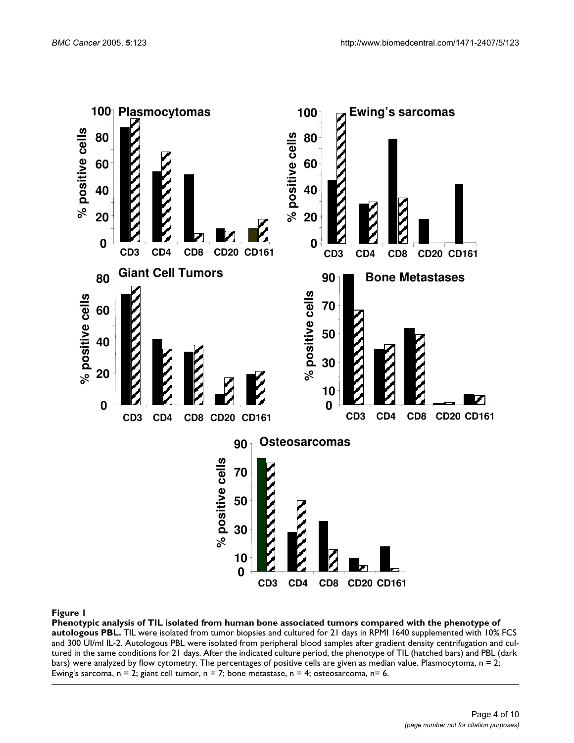<span id="page-4-0"></span>

#### Phenotypic analysis of TIL isolated from human bone associ **Figure 1** ated tumors compared with the phenotype of autologous PBL

**Phenotypic analysis of TIL isolated from human bone associated tumors compared with the phenotype of autologous PBL.** TIL were isolated from tumor biopsies and cultured for 21 days in RPMI 1640 supplemented with 10% FCS and 300 UI/ml IL-2. Autologous PBL were isolated from peripheral blood samples after gradient density centrifugation and cultured in the same conditions for 21 days. After the indicated culture period, the phenotype of TIL (hatched bars) and PBL (dark bars) were analyzed by flow cytometry. The percentages of positive cells are given as median value. Plasmocytoma, n = 2; Ewing's sarcoma,  $n = 2$ ; giant cell tumor,  $n = 7$ ; bone metastase,  $n = 4$ ; osteosarcoma,  $n = 6$ .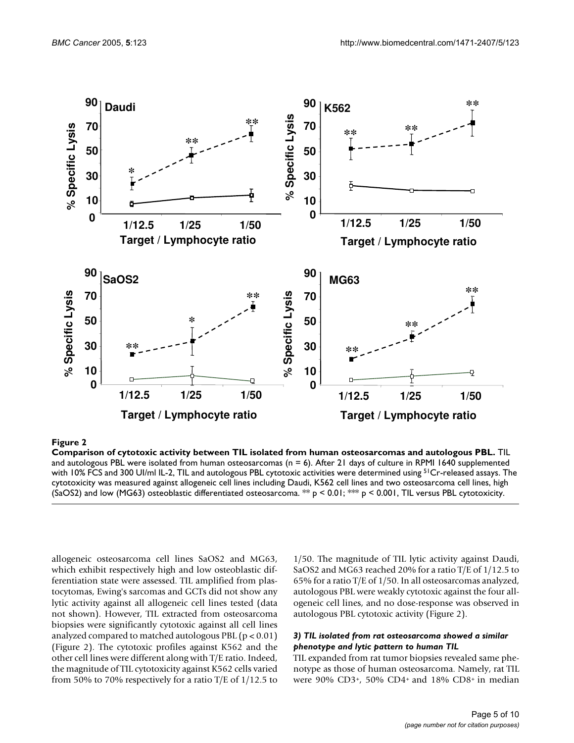

#### Comparison of cytotoxic a **Figure 2** ctivity between TIL isolated from human osteosarcomas and autologous PBL

**Comparison of cytotoxic activity between TIL isolated from human osteosarcomas and autologous PBL.** TIL and autologous PBL were isolated from human osteosarcomas ( $n = 6$ ). After 21 days of culture in RPMI 1640 supplemented with 10% FCS and 300 UI/ml IL-2, TIL and autologous PBL cytotoxic activities were determined using <sup>51</sup>Cr-released assays. The cytotoxicity was measured against allogeneic cell lines including Daudi, K562 cell lines and two osteosarcoma cell lines, high

allogeneic osteosarcoma cell lines SaOS2 and MG63, which exhibit respectively high and low osteoblastic differentiation state were assessed. TIL amplified from plastocytomas, Ewing's sarcomas and GCTs did not show any lytic activity against all allogeneic cell lines tested (data not shown). However, TIL extracted from osteosarcoma biopsies were significantly cytotoxic against all cell lines analyzed compared to matched autologous PBL  $(p < 0.01)$ (Figure 2). The cytotoxic profiles against K562 and the other cell lines were different along with T/E ratio. Indeed, the magnitude of TIL cytotoxicity against K562 cells varied from 50% to 70% respectively for a ratio  $T/E$  of  $1/12.5$  to

1/50. The magnitude of TIL lytic activity against Daudi, SaOS2 and MG63 reached 20% for a ratio T/E of 1/12.5 to 65% for a ratio T/E of 1/50. In all osteosarcomas analyzed, autologous PBL were weakly cytotoxic against the four allogeneic cell lines, and no dose-response was observed in autologous PBL cytotoxic activity (Figure 2).

#### *3) TIL isolated from rat osteosarcoma showed a similar phenotype and lytic pattern to human TIL*

TIL expanded from rat tumor biopsies revealed same phenotype as those of human osteosarcoma. Namely, rat TIL were 90% CD3<sup>+</sup>, 50% CD4<sup>+</sup>and 18% CD8<sup>+</sup>in median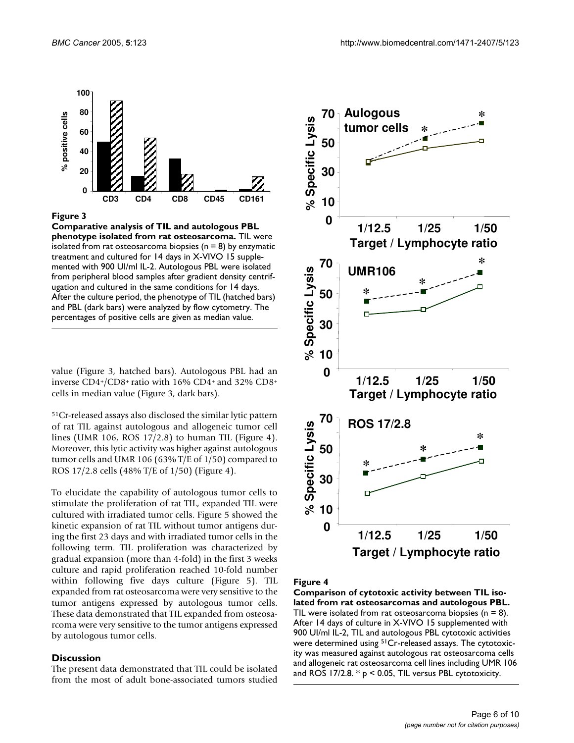

#### Figure 3

**Comparative analysis of TIL and autologous PBL phenotype isolated from rat osteosarcoma.** TIL were isolated from rat osteosarcoma biopsies ( $n = 8$ ) by enzymatic treatment and cultured for 14 days in X-VIVO 15 supplemented with 900 UI/ml IL-2. Autologous PBL were isolated from peripheral blood samples after gradient density centrifugation and cultured in the same conditions for 14 days. After the culture period, the phenotype of TIL (hatched bars) and PBL (dark bars) were analyzed by flow cytometry. The percentages of positive cells are given as median value.

value (Figure 3, hatched bars). Autologous PBL had an inverse  $CD4*/CD8+$  ratio with 16%  $CD4+$  and 32%  $CD8+$ cells in median value (Figure 3, dark bars).

<sup>51</sup>Cr-released assays also disclosed the similar lytic pattern of rat TIL against autologous and allogeneic tumor cell lines (UMR 106, ROS 17/2.8) to human TIL (Figure [4\)](#page-6-0). Moreover, this lytic activity was higher against autologous tumor cells and UMR 106 (63% T/E of 1/50) compared to ROS 17/2.8 cells (48% T/E of 1/50) (Figure [4\)](#page-6-0).

To elucidate the capability of autologous tumor cells to stimulate the proliferation of rat TIL, expanded TIL were cultured with irradiated tumor cells. Figure [5](#page-7-0) showed the kinetic expansion of rat TIL without tumor antigens during the first 23 days and with irradiated tumor cells in the following term. TIL proliferation was characterized by gradual expansion (more than 4-fold) in the first 3 weeks culture and rapid proliferation reached 10-fold number within following five days culture (Figure [5](#page-7-0)). TIL expanded from rat osteosarcoma were very sensitive to the tumor antigens expressed by autologous tumor cells. These data demonstrated that TIL expanded from osteosarcoma were very sensitive to the tumor antigens expressed by autologous tumor cells.

#### **Discussion**

The present data demonstrated that TIL could be isolated from the most of adult bone-associated tumors studied

<span id="page-6-0"></span>

#### Figure 4

**Comparison of cytotoxic activity between TIL isolated from rat osteosarcomas and autologous PBL.**  TIL were isolated from rat osteosarcoma biopsies ( $n = 8$ ). After 14 days of culture in X-VIVO 15 supplemented with 900 UI/ml IL-2, TIL and autologous PBL cytotoxic activities were determined using <sup>51</sup>Cr-released assays. The cytotoxicity was measured against autologous rat osteosarcoma cells and allogeneic rat osteosarcoma cell lines including UMR 106 and ROS 17/2.8.  $* p < 0.05$ , TIL versus PBL cytotoxicity.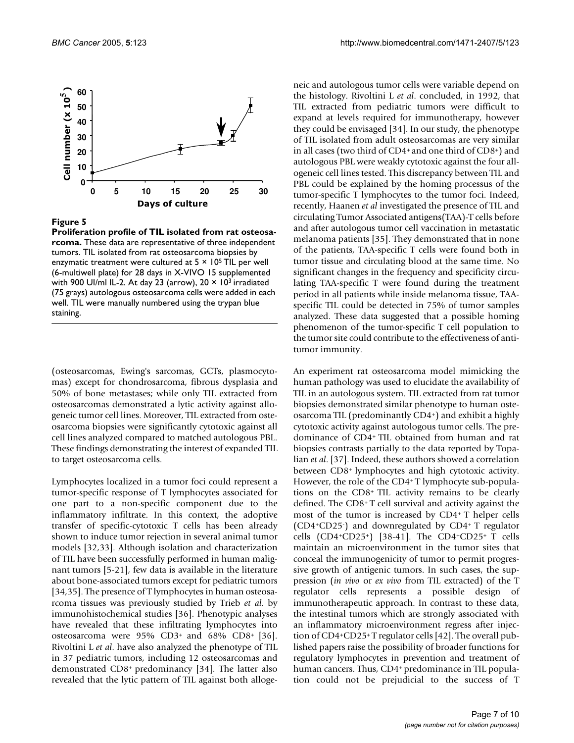<span id="page-7-0"></span>

#### **Figure 5**

**Proliferation profile of TIL isolated from rat osteosarcoma.** These data are representative of three independent tumors. TIL isolated from rat osteosarcoma biopsies by enzymatic treatment were cultured at  $5 \times 10^5$  TIL per well (6-multiwell plate) for 28 days in X-VIVO 15 supplemented with 900 UI/ml IL-2. At day 23 (arrow),  $20 \times 10^3$  irradiated (75 grays) autologous osteosarcoma cells were added in each well. TIL were manually numbered using the trypan blue staining.

(osteosarcomas, Ewing's sarcomas, GCTs, plasmocytomas) except for chondrosarcoma, fibrous dysplasia and 50% of bone metastases; while only TIL extracted from osteosarcomas demonstrated a lytic activity against allogeneic tumor cell lines. Moreover, TIL extracted from osteosarcoma biopsies were significantly cytotoxic against all cell lines analyzed compared to matched autologous PBL. These findings demonstrating the interest of expanded TIL to target osteosarcoma cells.

Lymphocytes localized in a tumor foci could represent a tumor-specific response of T lymphocytes associated for one part to a non-specific component due to the inflammatory infiltrate. In this context, the adoptive transfer of specific-cytotoxic T cells has been already shown to induce tumor rejection in several animal tumor models [32,33]. Although isolation and characterization of TIL have been successfully performed in human malignant tumors [5[-21](#page-9-0)], few data is available in the literature about bone-associated tumors except for pediatric tumors [34,35]. The presence of T lymphocytes in human osteosarcoma tissues was previously studied by Trieb *et al*. by immunohistochemical studies [36]. Phenotypic analyses have revealed that these infiltrating lymphocytes into osteosarcoma were 95% CD3<sup>+</sup>and 68% CD8<sup>+</sup>[36]. Rivoltini L *et al*. have also analyzed the phenotype of TIL in 37 pediatric tumors, including 12 osteosarcomas and demonstrated CD8<sup>+</sup>predominancy [34]. The latter also revealed that the lytic pattern of TIL against both allogeneic and autologous tumor cells were variable depend on the histology. Rivoltini L *et al*. concluded, in 1992, that TIL extracted from pediatric tumors were difficult to expand at levels required for immunotherapy, however they could be envisaged [34]. In our study, the phenotype of TIL isolated from adult osteosarcomas are very similar in all cases (two third of CD4<sup>+</sup>and one third of CD8<sup>+</sup>) and autologous PBL were weakly cytotoxic against the four allogeneic cell lines tested. This discrepancy between TIL and PBL could be explained by the homing processus of the tumor-specific T lymphocytes to the tumor foci. Indeed, recently, Haanen *et al* investigated the presence of TIL and circulating Tumor Associated antigens(TAA)-T cells before and after autologous tumor cell vaccination in metastatic melanoma patients [35]. They demonstrated that in none of the patients, TAA-specific T cells were found both in tumor tissue and circulating blood at the same time. No significant changes in the frequency and specificity circulating TAA-specific T were found during the treatment period in all patients while inside melanoma tissue, TAAspecific TIL could be detected in 75% of tumor samples analyzed. These data suggested that a possible homing phenomenon of the tumor-specific T cell population to the tumor site could contribute to the effectiveness of antitumor immunity.

An experiment rat osteosarcoma model mimicking the human pathology was used to elucidate the availability of TIL in an autologous system. TIL extracted from rat tumor biopsies demonstrated similar phenotype to human osteosarcoma TIL (predominantly CD4<sup>+</sup>) and exhibit a highly cytotoxic activity against autologous tumor cells. The predominance of CD4<sup>+</sup>TIL obtained from human and rat biopsies contrasts partially to the data reported by Topalian *et al*. [37]. Indeed, these authors showed a correlation between CD8<sup>+</sup>lymphocytes and high cytotoxic activity. However, the role of the CD4+ T lymphocyte sub-populations on the CD8<sup>+</sup>TIL activity remains to be clearly defined. The CD8<sup>+</sup>T cell survival and activity against the most of the tumor is increased by CD4<sup>+</sup>T helper cells (CD4<sup>+</sup>CD25-) and downregulated by CD4<sup>+</sup>T regulator cells  $(CD4+CD25^+)$  [[38-](#page-9-1)[41\]](#page-9-2). The  $CD4^+CD25^+$  T cells maintain an microenvironment in the tumor sites that conceal the immunogenicity of tumor to permit progressive growth of antigenic tumors. In such cases, the suppression (*in vivo* or *ex vivo* from TIL extracted) of the T regulator cells represents a possible design of immunotherapeutic approach. In contrast to these data, the intestinal tumors which are strongly associated with an inflammatory microenvironment regress after injection of CD4+CD25+ T regulator cells [42]. The overall published papers raise the possibility of broader functions for regulatory lymphocytes in prevention and treatment of human cancers. Thus, CD4+ predominance in TIL population could not be prejudicial to the success of T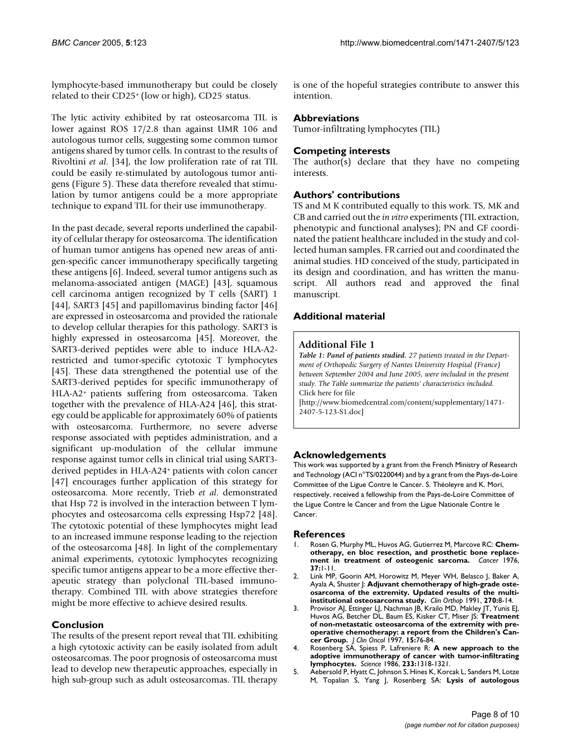lymphocyte-based immunotherapy but could be closely related to their CD25<sup>+</sup>(low or high), CD25- status.

The lytic activity exhibited by rat osteosarcoma TIL is lower against ROS 17/2.8 than against UMR 106 and autologous tumor cells, suggesting some common tumor antigens shared by tumor cells. In contrast to the results of Rivoltini *et al*. [34], the low proliferation rate of rat TIL could be easily re-stimulated by autologous tumor antigens (Figure [5\)](#page-7-0). These data therefore revealed that stimulation by tumor antigens could be a more appropriate technique to expand TIL for their use immunotherapy.

In the past decade, several reports underlined the capability of cellular therapy for osteosarcoma. The identification of human tumor antigens has opened new areas of antigen-specific cancer immunotherapy specifically targeting these antigens [6]. Indeed, several tumor antigens such as melanoma-associated antigen (MAGE) [43], squamous cell carcinoma antigen recognized by T cells (SART) 1 [44], SART3 [45] and papillomavirus binding factor [46] are expressed in osteosarcoma and provided the rationale to develop cellular therapies for this pathology. SART3 is highly expressed in osteosarcoma [45]. Moreover, the SART3-derived peptides were able to induce HLA-A2 restricted and tumor-specific cytotoxic T lymphocytes [45]. These data strengthened the potential use of the SART3-derived peptides for specific immunotherapy of HLA-A2<sup>+</sup> patients suffering from osteosarcoma. Taken together with the prevalence of HLA-A24 [46], this strategy could be applicable for approximately 60% of patients with osteosarcoma. Furthermore, no severe adverse response associated with peptides administration, and a significant up-modulation of the cellular immune response against tumor cells in clinical trial using SART3 derived peptides in HLA-A24<sup>+</sup>patients with colon cancer [47] encourages further application of this strategy for osteosarcoma. More recently, Trieb *et al*. demonstrated that Hsp 72 is involved in the interaction between T lymphocytes and osteosarcoma cells expressing Hsp72 [48]. The cytotoxic potential of these lymphocytes might lead to an increased immune response leading to the rejection of the osteosarcoma [48]. In light of the complementary animal experiments, cytotoxic lymphocytes recognizing specific tumor antigens appear to be a more effective therapeutic strategy than polyclonal TIL-based immunotherapy. Combined TIL with above strategies therefore might be more effective to achieve desired results.

# **Conclusion**

The results of the present report reveal that TIL exhibiting a high cytotoxic activity can be easily isolated from adult osteosarcomas. The poor prognosis of osteosarcoma must lead to develop new therapeutic approaches, especially in high sub-group such as adult osteosarcomas. TIL therapy is one of the hopeful strategies contribute to answer this intention.

# **Abbreviations**

Tumor-infiltrating lymphocytes (TIL)

# **Competing interests**

The author(s) declare that they have no competing interests.

#### **Authors' contributions**

TS and M K contributed equally to this work. TS, MK and CB and carried out the *in vitro* experiments (TIL extraction, phenotypic and functional analyses); PN and GF coordinated the patient healthcare included in the study and collected human samples. FR carried out and coordinated the animal studies. HD conceived of the study, participated in its design and coordination, and has written the manuscript. All authors read and approved the final manuscript.

# **Additional material**

# **Additional File 1**

*Table 1: Panel of patients studied. 27 patients treated in the Department of Orthopedic Surgery of Nantes University Hospital (France) between September 2004 and June 2005, were included in the present study. The Table summarize the patients' characteristics included.* Click here for file

[\[http://www.biomedcentral.com/content/supplementary/1471-](http://www.biomedcentral.com/content/supplementary/1471-2407-5-123-S1.doc) 2407-5-123-S1.doc]

# **Acknowledgements**

This work was supported by a grant from the French Ministry of Research and Technology (ACI n°TS/0220044) and by a grant from the Pays-de-Loire Committee of the Ligue Contre le Cancer. S. Théoleyre and K. Mori, respectively, received a fellowship from the Pays-de-Loire Committee of the Ligue Contre le Cancer and from the Ligue Nationale Contre le Cancer.

#### **References**

- 1. Rosen G, Murphy ML, Huvos AG, Gutierrez M, Marcove RC: **[Chem](http://www.ncbi.nlm.nih.gov/entrez/query.fcgi?cmd=Retrieve&db=PubMed&dopt=Abstract&list_uids=1082364)[otherapy, en bloc resection, and prosthetic bone replace](http://www.ncbi.nlm.nih.gov/entrez/query.fcgi?cmd=Retrieve&db=PubMed&dopt=Abstract&list_uids=1082364)[ment in treatment of osteogenic sarcoma.](http://www.ncbi.nlm.nih.gov/entrez/query.fcgi?cmd=Retrieve&db=PubMed&dopt=Abstract&list_uids=1082364)** *Cancer* 1976, **37:**1-11.
- 2. Link MP, Goorin AM, Horowitz M, Meyer WH, Belasco J, Baker A, Ayala A, Shuster J: **[Adjuvant chemotherapy of high-grade oste](http://www.ncbi.nlm.nih.gov/entrez/query.fcgi?cmd=Retrieve&db=PubMed&dopt=Abstract&list_uids=1884563)[osarcoma of the extremity. Updated results of the multi](http://www.ncbi.nlm.nih.gov/entrez/query.fcgi?cmd=Retrieve&db=PubMed&dopt=Abstract&list_uids=1884563)[institutional osteosarcoma study.](http://www.ncbi.nlm.nih.gov/entrez/query.fcgi?cmd=Retrieve&db=PubMed&dopt=Abstract&list_uids=1884563)** *Clin Orthop* 1991, **270:**8-14.
- 3. Provisor AJ, Ettinger LJ, Nachman JB, Krailo MD, Makley JT, Yunis EJ, Huvos AG, Betcher DL, Baum ES, Kisker CT, Miser JS: **[Treatment](http://www.ncbi.nlm.nih.gov/entrez/query.fcgi?cmd=Retrieve&db=PubMed&dopt=Abstract&list_uids=8996127) [of non-metastatic osteosarcoma of the extremity with pre](http://www.ncbi.nlm.nih.gov/entrez/query.fcgi?cmd=Retrieve&db=PubMed&dopt=Abstract&list_uids=8996127)operative chemotherapy: a report from the Children's Can[cer Group.](http://www.ncbi.nlm.nih.gov/entrez/query.fcgi?cmd=Retrieve&db=PubMed&dopt=Abstract&list_uids=8996127)** *J Clin Oncol* 1997, **15:**76-84.
- 4. Rosenberg SA, Spiess P, Lafreniere R: **[A new approach to the](http://www.ncbi.nlm.nih.gov/entrez/query.fcgi?cmd=Retrieve&db=PubMed&dopt=Abstract&list_uids=3489291) [adoptive immunotherapy of cancer with tumor-infiltrating](http://www.ncbi.nlm.nih.gov/entrez/query.fcgi?cmd=Retrieve&db=PubMed&dopt=Abstract&list_uids=3489291) [lymphocytes.](http://www.ncbi.nlm.nih.gov/entrez/query.fcgi?cmd=Retrieve&db=PubMed&dopt=Abstract&list_uids=3489291)** *Science* 1986, **233:**1318-1321.
- 5. Aebersold P, Hyatt C, Johnson S, Hines K, Korcak L, Sanders M, Lotze M, Topalian S, Yang J, Rosenberg SA: **[Lysis of autologous](http://www.ncbi.nlm.nih.gov/entrez/query.fcgi?cmd=Retrieve&db=PubMed&dopt=Abstract&list_uids=2067036)**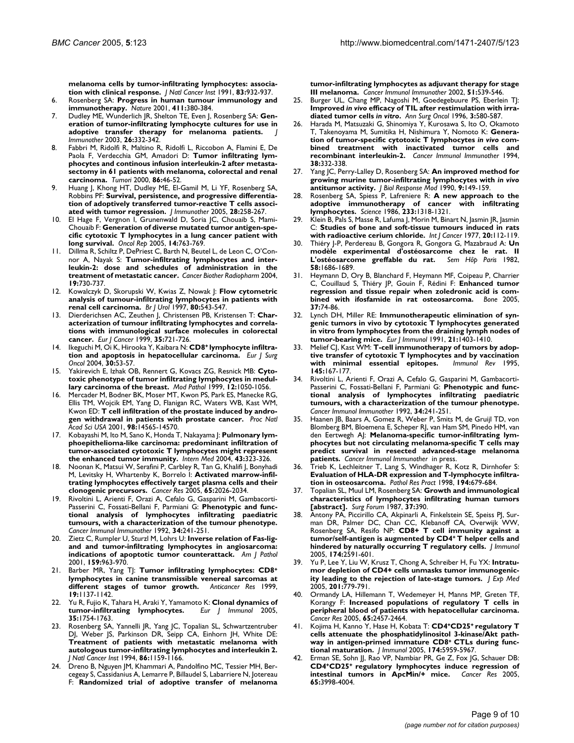**[melanoma cells by tumor-infiltrating lymphocytes: associa](http://www.ncbi.nlm.nih.gov/entrez/query.fcgi?cmd=Retrieve&db=PubMed&dopt=Abstract&list_uids=2067036)[tion with clinical response.](http://www.ncbi.nlm.nih.gov/entrez/query.fcgi?cmd=Retrieve&db=PubMed&dopt=Abstract&list_uids=2067036)** *J Natl Cancer Inst* 1991, **83:**932-937.

- 6. Rosenberg SA: **[Progress in human tumour immunology and](http://www.ncbi.nlm.nih.gov/entrez/query.fcgi?cmd=Retrieve&db=PubMed&dopt=Abstract&list_uids=11357146) [immunotherapy.](http://www.ncbi.nlm.nih.gov/entrez/query.fcgi?cmd=Retrieve&db=PubMed&dopt=Abstract&list_uids=11357146)** *Nature* 2001, **411:**380-384.
- 7. Dudley ME, Wunderlich JR, Shelton TE, Even J, Rosenberg SA: **[Gen](http://www.ncbi.nlm.nih.gov/entrez/query.fcgi?cmd=Retrieve&db=PubMed&dopt=Abstract&list_uids=12843795)[eration of tumor-infiltrating lymphocyte cultures for use in](http://www.ncbi.nlm.nih.gov/entrez/query.fcgi?cmd=Retrieve&db=PubMed&dopt=Abstract&list_uids=12843795) [adoptive transfer therapy for melanoma patients.](http://www.ncbi.nlm.nih.gov/entrez/query.fcgi?cmd=Retrieve&db=PubMed&dopt=Abstract&list_uids=12843795)** *J Immunother* 2003, **26:**332-342.
- 8. Fabbri M, Ridolfi R, Maltino R, Ridolfi L, Riccobon A, Flamini E, De Paola F, Verdecchia GM, Amadori D: **[Tumor infiltrating lym](http://www.ncbi.nlm.nih.gov/entrez/query.fcgi?cmd=Retrieve&db=PubMed&dopt=Abstract&list_uids=10778766)[phocytes and continous infusion interleukin-2 after metasta](http://www.ncbi.nlm.nih.gov/entrez/query.fcgi?cmd=Retrieve&db=PubMed&dopt=Abstract&list_uids=10778766)sectomy in 61 patients with melanoma, colorectal and renal [carcinoma.](http://www.ncbi.nlm.nih.gov/entrez/query.fcgi?cmd=Retrieve&db=PubMed&dopt=Abstract&list_uids=10778766)** *Tumori* 2000, **86:**46-52.
- Huang J, Khong HT, Dudley ME, El-Gamil M, Li YF, Rosenberg SA, Robbins PF: **[Survival, persistence, and progressive differentia](http://www.ncbi.nlm.nih.gov/entrez/query.fcgi?cmd=Retrieve&db=PubMed&dopt=Abstract&list_uids=15838383)[tion of adoptively transferred tumor-reactive T cells associ](http://www.ncbi.nlm.nih.gov/entrez/query.fcgi?cmd=Retrieve&db=PubMed&dopt=Abstract&list_uids=15838383)[ated with tumor regression.](http://www.ncbi.nlm.nih.gov/entrez/query.fcgi?cmd=Retrieve&db=PubMed&dopt=Abstract&list_uids=15838383)** *J Immunother* 2005, **28:**258-267.
- 10. El Hage F, Vergnon I, Grunenwald D, Soria JC, Chouaib S, Mami-Chouaib F: **[Generation of diverse mutated tumor antigen-spe](http://www.ncbi.nlm.nih.gov/entrez/query.fcgi?cmd=Retrieve&db=PubMed&dopt=Abstract&list_uids=16077989)[cific cytotoxic T lymphocytes in a lung cancer patient with](http://www.ncbi.nlm.nih.gov/entrez/query.fcgi?cmd=Retrieve&db=PubMed&dopt=Abstract&list_uids=16077989) [long survival.](http://www.ncbi.nlm.nih.gov/entrez/query.fcgi?cmd=Retrieve&db=PubMed&dopt=Abstract&list_uids=16077989)** *Oncol Rep* 2005, **14:**763-769.
- 11. Dillma R, Schiltz P, DePriest C, Barth N, Beutel L, de Leon C, O'Connor A, Nayak S: **[Tumor-infiltrating lymphocytes and inter](http://www.ncbi.nlm.nih.gov/entrez/query.fcgi?cmd=Retrieve&db=PubMed&dopt=Abstract&list_uids=15665620)[leukin-2: dose and schedules of administration in the](http://www.ncbi.nlm.nih.gov/entrez/query.fcgi?cmd=Retrieve&db=PubMed&dopt=Abstract&list_uids=15665620) [treatment of metastatic cancer.](http://www.ncbi.nlm.nih.gov/entrez/query.fcgi?cmd=Retrieve&db=PubMed&dopt=Abstract&list_uids=15665620)** *Cancer Biother Radiopharm* 2004, **19:**730-737.
- 12. Kowalczyk D, Skorupski W, Kwias Z, Nowak J: **[Flow cytometric](http://www.ncbi.nlm.nih.gov/entrez/query.fcgi?cmd=Retrieve&db=PubMed&dopt=Abstract&list_uids=9352689) [analysis of tumour-infiltrating lymphocytes in patients with](http://www.ncbi.nlm.nih.gov/entrez/query.fcgi?cmd=Retrieve&db=PubMed&dopt=Abstract&list_uids=9352689) [renal cell carcinoma.](http://www.ncbi.nlm.nih.gov/entrez/query.fcgi?cmd=Retrieve&db=PubMed&dopt=Abstract&list_uids=9352689)** *Br J Urol* 1997, **80:**543-547.
- 13. Dierderichsen AC, Zeuthen J, Christensen PB, Kristensen T: **[Char](http://www.ncbi.nlm.nih.gov/entrez/query.fcgi?cmd=Retrieve&db=PubMed&dopt=Abstract&list_uids=10505031)[acterization of tumour infiltrating lymphocytes and correla](http://www.ncbi.nlm.nih.gov/entrez/query.fcgi?cmd=Retrieve&db=PubMed&dopt=Abstract&list_uids=10505031)tions with immunological surface molecules in colorectal [cancer.](http://www.ncbi.nlm.nih.gov/entrez/query.fcgi?cmd=Retrieve&db=PubMed&dopt=Abstract&list_uids=10505031)** *Eur J Cancer* 1999, **35:**721-726.
- 14. Ikeguchi M, Oi K, Hirooka Y, Kaibara N: **CD8+ [lymphocyte infiltra](http://www.ncbi.nlm.nih.gov/entrez/query.fcgi?cmd=Retrieve&db=PubMed&dopt=Abstract&list_uids=14736523)[tion and apoptosis in hepatocellular carcinoma.](http://www.ncbi.nlm.nih.gov/entrez/query.fcgi?cmd=Retrieve&db=PubMed&dopt=Abstract&list_uids=14736523)** *Eur J Surg Oncol* 2004, **30:**53-57.
- 15. Yakirevich E, Izhak OB, Rennert G, Kovacs ZG, Resnick MB: **[Cyto](http://www.ncbi.nlm.nih.gov/entrez/query.fcgi?cmd=Retrieve&db=PubMed&dopt=Abstract&list_uids=10574602)[toxic phenotype of tumor infiltrating lymphocytes in medul](http://www.ncbi.nlm.nih.gov/entrez/query.fcgi?cmd=Retrieve&db=PubMed&dopt=Abstract&list_uids=10574602)[lary carcinoma of the breast.](http://www.ncbi.nlm.nih.gov/entrez/query.fcgi?cmd=Retrieve&db=PubMed&dopt=Abstract&list_uids=10574602)** *Mod Pathol* 1999, **12:**1050-1056.
- 16. Mercader M, Bodner BK, Moser MT, Kwon PS, Park ES, Manecke RG, Ellis TM, Wojcik EM, Yang D, Flanigan RC, Waters WB, Kast WM, Kwon ED: **[T cell infiltration of the prostate induced by andro](http://www.ncbi.nlm.nih.gov/entrez/query.fcgi?cmd=Retrieve&db=PubMed&dopt=Abstract&list_uids=11734652)[gen withdrawal in patients with prostate cancer.](http://www.ncbi.nlm.nih.gov/entrez/query.fcgi?cmd=Retrieve&db=PubMed&dopt=Abstract&list_uids=11734652)** *Proc Natl Acad Sci USA* 2001, **98:**14565-14570.
- 17. Kobayashi M, Ito M, Sano K, Honda T, Nakayama J: **[Pulmonary lym](http://www.ncbi.nlm.nih.gov/entrez/query.fcgi?cmd=Retrieve&db=PubMed&dopt=Abstract&list_uids=15168777)phoepithelioma-like carcinoma: predominant infiltration of [tumor-associated cytotoxic T lymphocytes might represent](http://www.ncbi.nlm.nih.gov/entrez/query.fcgi?cmd=Retrieve&db=PubMed&dopt=Abstract&list_uids=15168777) [the enhanced tumor immunity.](http://www.ncbi.nlm.nih.gov/entrez/query.fcgi?cmd=Retrieve&db=PubMed&dopt=Abstract&list_uids=15168777)** *Intern Med* 2004, **43:**323-326.
- 18. Noonan K, Matsui W, Serafini P, Carbley R, Tan G, Khalifi J, Bonyhadi M, Levitsky H, Whartenby K, Borrelo I: **[Activated marrow-infil](http://www.ncbi.nlm.nih.gov/entrez/query.fcgi?cmd=Retrieve&db=PubMed&dopt=Abstract&list_uids=15753403)[trating lymphocytes effectively target plasma cells and their](http://www.ncbi.nlm.nih.gov/entrez/query.fcgi?cmd=Retrieve&db=PubMed&dopt=Abstract&list_uids=15753403) [clonogenic precursors.](http://www.ncbi.nlm.nih.gov/entrez/query.fcgi?cmd=Retrieve&db=PubMed&dopt=Abstract&list_uids=15753403)** *Cancer Res* 2005, **65:**2026-2034.
- 19. Rivoltini L, Arienti F, Orazi A, Cefalo G, Gasparini M, Gambacorti-Passerini C, Fossati-Bellani F, Parmiani G: **[Phenotypic and func](http://www.ncbi.nlm.nih.gov/entrez/query.fcgi?cmd=Retrieve&db=PubMed&dopt=Abstract&list_uids=1311218)[tional analysis of lymphocytes infiltrating paediatric](http://www.ncbi.nlm.nih.gov/entrez/query.fcgi?cmd=Retrieve&db=PubMed&dopt=Abstract&list_uids=1311218) tumours, with a characterization of the tumour phenotype.** *Cancer Immunol Immunother* 1992, **34:**241-251.
- 20. Zietz C, Rumpler U, Sturzl M, Lohrs U: **[Inverse relation of Fas-lig](http://www.ncbi.nlm.nih.gov/entrez/query.fcgi?cmd=Retrieve&db=PubMed&dopt=Abstract&list_uids=11549589)[and and tumor-infiltrating lymphocytes in angiosarcoma:](http://www.ncbi.nlm.nih.gov/entrez/query.fcgi?cmd=Retrieve&db=PubMed&dopt=Abstract&list_uids=11549589) [indications of apoptotic tumor counterattack.](http://www.ncbi.nlm.nih.gov/entrez/query.fcgi?cmd=Retrieve&db=PubMed&dopt=Abstract&list_uids=11549589)** *Am J Pathol* 2001, **159:**963-970.
- <span id="page-9-0"></span>21. Barber MR, Yang TJ: **Tumor infiltrating lymphocytes: CD8<sup>+</sup> [lymphocytes in canine transmissible venereal sarcomas at](http://www.ncbi.nlm.nih.gov/entrez/query.fcgi?cmd=Retrieve&db=PubMed&dopt=Abstract&list_uids=10368665) [different stages of tumor growth.](http://www.ncbi.nlm.nih.gov/entrez/query.fcgi?cmd=Retrieve&db=PubMed&dopt=Abstract&list_uids=10368665)** *Anticancer Res* 1999, **19:**1137-1142.
- 22. Yu R, Fujio K, Tahara H, Araki Y, Yamamoto K: **[Clonal dynamics of](http://www.ncbi.nlm.nih.gov/entrez/query.fcgi?cmd=Retrieve&db=PubMed&dopt=Abstract&list_uids=15902685) [tumor-infiltrating lymphocytes.](http://www.ncbi.nlm.nih.gov/entrez/query.fcgi?cmd=Retrieve&db=PubMed&dopt=Abstract&list_uids=15902685)** *Eur J Immunol* 2005, **35:**1754-1763.
- 23. Rosenberg SA, Yannelli JR, Yang JC, Topalian SL, Schwartzentruber DJ, Weber JS, Parkinson DR, Seipp CA, Einhorn JH, White DE: **[Treatment of patients with metastatic melanoma with](http://www.ncbi.nlm.nih.gov/entrez/query.fcgi?cmd=Retrieve&db=PubMed&dopt=Abstract&list_uids=8028037) autologous tumor-infiltrating lymphocytes and interleukin 2.** *J Natl Cancer Inst* 1994, **86:**1159-1166.
- 24. Dreno B, Nguyen JM, Khammari A, Pandolfino MC, Tessier MH, Bercegeay S, Cassidanius A, Lemarre P, Billaudel S, Labarriere N, Jotereau F: **[Randomized trial of adoptive transfer of melanoma](http://www.ncbi.nlm.nih.gov/entrez/query.fcgi?cmd=Retrieve&db=PubMed&dopt=Abstract&list_uids=12384805)**

**[tumor-infiltrating lymphocytes as adjuvant therapy for stage](http://www.ncbi.nlm.nih.gov/entrez/query.fcgi?cmd=Retrieve&db=PubMed&dopt=Abstract&list_uids=12384805) [III melanoma.](http://www.ncbi.nlm.nih.gov/entrez/query.fcgi?cmd=Retrieve&db=PubMed&dopt=Abstract&list_uids=12384805)** *Cancer Immunol Immunother* 2002, **51:**539-546.

- 25. Burger UL, Chang MP, Nagoshi M, Goedegebuure PS, Eberlein TJ: **Improved** *in vivo* **efficacy of TIL after restimulation with irradiated tumor cells** *in vitro***[.](http://www.ncbi.nlm.nih.gov/entrez/query.fcgi?cmd=Retrieve&db=PubMed&dopt=Abstract&list_uids=8915492)** *Ann Surg Oncol* 1996, **3:**580-587.
- 26. Harada M, Matsuzaki G, Shinomiya Y, Kurosawa S, Ito O, Okamoto T, Takenoyama M, Sumitika H, Nishimura Y, Nomoto K: **Generation of tumor-specific cytotoxic T lymphocytes** *in vivo* **[com](http://www.ncbi.nlm.nih.gov/entrez/query.fcgi?cmd=Retrieve&db=PubMed&dopt=Abstract&list_uids=8162615)[bined treatment with inactivated tumor cells and](http://www.ncbi.nlm.nih.gov/entrez/query.fcgi?cmd=Retrieve&db=PubMed&dopt=Abstract&list_uids=8162615) [recombinant interleukin-2.](http://www.ncbi.nlm.nih.gov/entrez/query.fcgi?cmd=Retrieve&db=PubMed&dopt=Abstract&list_uids=8162615)** *Cancer Immunol Immunother* 1994, **38:**332-338.
- 27. Yang JC, Perry-Lalley D, Rosenberg SA: **An improved method for growing murine tumor-infiltrating lymphocytes with** *in vivo* **[antitumor activity.](http://www.ncbi.nlm.nih.gov/entrez/query.fcgi?cmd=Retrieve&db=PubMed&dopt=Abstract&list_uids=1971302)** *J Biol Response Mod* 1990, **9:**149-159.
- 28. Rosenberg SA, Spiess P, Lafreniere R: **[A new approach to the](http://www.ncbi.nlm.nih.gov/entrez/query.fcgi?cmd=Retrieve&db=PubMed&dopt=Abstract&list_uids=3489291) [adoptive immunotherapy of cancer with infiltrating](http://www.ncbi.nlm.nih.gov/entrez/query.fcgi?cmd=Retrieve&db=PubMed&dopt=Abstract&list_uids=3489291) [lymphocytes.](http://www.ncbi.nlm.nih.gov/entrez/query.fcgi?cmd=Retrieve&db=PubMed&dopt=Abstract&list_uids=3489291)** *Science* 1986, **233:**1318-1321.
- Klein B, Pals S, Masse R, Lafuma J, Morin M, Binart N, Jasmin JR, Jasmin C: **[Studies of bone and soft-tissue tumours induced in rats](http://www.ncbi.nlm.nih.gov/entrez/query.fcgi?cmd=Retrieve&db=PubMed&dopt=Abstract&list_uids=269099) [with radioactive cerium chloride.](http://www.ncbi.nlm.nih.gov/entrez/query.fcgi?cmd=Retrieve&db=PubMed&dopt=Abstract&list_uids=269099)** *Int J Cancer* 1977, **20:**112-119.
- 30. Thiéry J-P, Perdereau B, Gongora R, Gongora G, Mazabraud A: **Un modèle experimental d'ostéosarcome chez le rat. II L'ostéosarcome greffable du rat.** *Sem Hôp Paris* 1982, **58:**1686-1689.
- 31. Heymann D, Ory B, Blanchard F, Heymann MF, Coipeau P, Charrier C, Couillaud S, Thiéry JP, Gouin F, Rédini F: **[Enhanced tumor](http://www.ncbi.nlm.nih.gov/entrez/query.fcgi?cmd=Retrieve&db=PubMed&dopt=Abstract&list_uids=15894525) [regression and tissue repair when zoledronic acid is com](http://www.ncbi.nlm.nih.gov/entrez/query.fcgi?cmd=Retrieve&db=PubMed&dopt=Abstract&list_uids=15894525)[bined with ifosfamide in rat osteosarcoma.](http://www.ncbi.nlm.nih.gov/entrez/query.fcgi?cmd=Retrieve&db=PubMed&dopt=Abstract&list_uids=15894525)** *Bone* 2005, **37:**74-86.
- 32. Lynch DH, Miller RE: **[Immunotherapeutic elimination of syn](http://www.ncbi.nlm.nih.gov/entrez/query.fcgi?cmd=Retrieve&db=PubMed&dopt=Abstract&list_uids=1904359)genic tumors in vivo by cytotoxic T lymphocytes generated [in vitro from lymphocytes from the draining lymph nodes of](http://www.ncbi.nlm.nih.gov/entrez/query.fcgi?cmd=Retrieve&db=PubMed&dopt=Abstract&list_uids=1904359) [tumor-bearing mice.](http://www.ncbi.nlm.nih.gov/entrez/query.fcgi?cmd=Retrieve&db=PubMed&dopt=Abstract&list_uids=1904359)** *Eur J Immunol* 1991, **21:**1403-1410.
- 33. Melief CJ, Kast WM: **[T-cell immunotherapy of tumors by adop](http://www.ncbi.nlm.nih.gov/entrez/query.fcgi?cmd=Retrieve&db=PubMed&dopt=Abstract&list_uids=7590825)[tive transfer of cytotoxic T lymphocytes and by vaccination](http://www.ncbi.nlm.nih.gov/entrez/query.fcgi?cmd=Retrieve&db=PubMed&dopt=Abstract&list_uids=7590825)** [with minimal essential epitopes.](http://www.ncbi.nlm.nih.gov/entrez/query.fcgi?cmd=Retrieve&db=PubMed&dopt=Abstract&list_uids=7590825) **145:**167-177.
- 34. Rivoltini L, Arienti F, Orazi A, Cefalo G, Gasparini M, Gambacorti-Passerini C, Fossati-Bellani F, Parmiani G: **[Phenotypic and func](http://www.ncbi.nlm.nih.gov/entrez/query.fcgi?cmd=Retrieve&db=PubMed&dopt=Abstract&list_uids=1311218)tional analysis of lymphocytes infiltrating paediatric [tumours, with a characterization of the tumour phenotype.](http://www.ncbi.nlm.nih.gov/entrez/query.fcgi?cmd=Retrieve&db=PubMed&dopt=Abstract&list_uids=1311218)** *Cancer Immunol Immunother* 1992, **34:**241-251.
- 35. Haanen JB, Baars A, Gomez R, Weber P, Smits M, de Gruijl TD, von Blomberg BM, Bloemena E, Scheper RJ, van Ham SM, Pinedo HM, van den Eertwegh AJ: **Melanoma-specific tumor-infiltrating lymphocytes but not circulating melanoma-specific T cells may predict survival in resected advanced-stage melanoma patients.** *Cancer Immunol Immunother* in press.
- 36. Trieb K, Lechleitner T, Lang S, Windhager R, Kotz R, Dirnhofer S: **[Evaluation of HLA-DR expression and T-lymphocyte infiltra](http://www.ncbi.nlm.nih.gov/entrez/query.fcgi?cmd=Retrieve&db=PubMed&dopt=Abstract&list_uids=9820863)[tion in osteosarcoma.](http://www.ncbi.nlm.nih.gov/entrez/query.fcgi?cmd=Retrieve&db=PubMed&dopt=Abstract&list_uids=9820863)** *Pathol Res Pract* 1998, **194:**679-684.
- 37. Topalian SL, Muul LM, Rosenberg SA: **Growth and immunological characteristics of lymphocytes infiltrating human tumors [abstract].** *Surg Forum* 1987, **37:**390.
- <span id="page-9-1"></span>Antony PA, Piccirillo CA, Akpinarli A, Finkelstein SE, Speiss PJ, Surman DR, Palmer DC, Chan CC, Klebanoff CA, Overwijk WW, Rosenberg SA, Resifo NP: **CD8+ T cell immunity against a tumor/self-antigen is augmented by CD4<sup>+</sup>[T helper cells and](http://www.ncbi.nlm.nih.gov/entrez/query.fcgi?cmd=Retrieve&db=PubMed&dopt=Abstract&list_uids=15728465) [hindered by naturally occurring T regulatory cells.](http://www.ncbi.nlm.nih.gov/entrez/query.fcgi?cmd=Retrieve&db=PubMed&dopt=Abstract&list_uids=15728465)** *J Immunol* 2005, **174:**2591-601.
- 39. Yu P, Lee Y, Liu W, Krusz T, Chong A, Schreiber H, Fu YX: **[Intratu](http://www.ncbi.nlm.nih.gov/entrez/query.fcgi?cmd=Retrieve&db=PubMed&dopt=Abstract&list_uids=15753211)[mor depletion of CD4+ cells unmasks tumor immunogenic](http://www.ncbi.nlm.nih.gov/entrez/query.fcgi?cmd=Retrieve&db=PubMed&dopt=Abstract&list_uids=15753211)[ity leading to the rejection of late-stage tumors.](http://www.ncbi.nlm.nih.gov/entrez/query.fcgi?cmd=Retrieve&db=PubMed&dopt=Abstract&list_uids=15753211)** *J Exp Med* 2005, **201:**779-791.
- 40. Ormandy LA, Hillemann T, Wedemeyer H, Manns MP, Greten TF, Korangy F: **[Increased populations of regulatory T cells in](http://www.ncbi.nlm.nih.gov/entrez/query.fcgi?cmd=Retrieve&db=PubMed&dopt=Abstract&list_uids=15781662) [peripheral blood of patients with hepatocellular carcinoma.](http://www.ncbi.nlm.nih.gov/entrez/query.fcgi?cmd=Retrieve&db=PubMed&dopt=Abstract&list_uids=15781662)** *Cancer Res* 2005, **65:**2457-2464.
- <span id="page-9-2"></span>41. Kojima H, Kanno Y, Hase H, Kobata T: **CD4<sup>+</sup>CD25<sup>+</sup>regulatory T cells attenuate the phosphatidylinositol 3-kinase/Akt pathway in antigen-primed immature CD8+ [CTLs during func](http://www.ncbi.nlm.nih.gov/entrez/query.fcgi?cmd=Retrieve&db=PubMed&dopt=Abstract&list_uids=15879088)[tional maturation.](http://www.ncbi.nlm.nih.gov/entrez/query.fcgi?cmd=Retrieve&db=PubMed&dopt=Abstract&list_uids=15879088)** *J Immunol* 2005, **174:**5959-5967.
- Erman SE, Sohn JJ, Rao VP, Nambiar PR, Ge Z, Fox JG, Schauer DB: **CD4<sup>+</sup>CD25<sup>+</sup>[regulatory lymphocytes induce regression of](http://www.ncbi.nlm.nih.gov/entrez/query.fcgi?cmd=Retrieve&db=PubMed&dopt=Abstract&list_uids=15899788) [intestinal tumors in ApcMin/+ mice.](http://www.ncbi.nlm.nih.gov/entrez/query.fcgi?cmd=Retrieve&db=PubMed&dopt=Abstract&list_uids=15899788)** *Cancer Res* 2005, **65:**3998-4004.